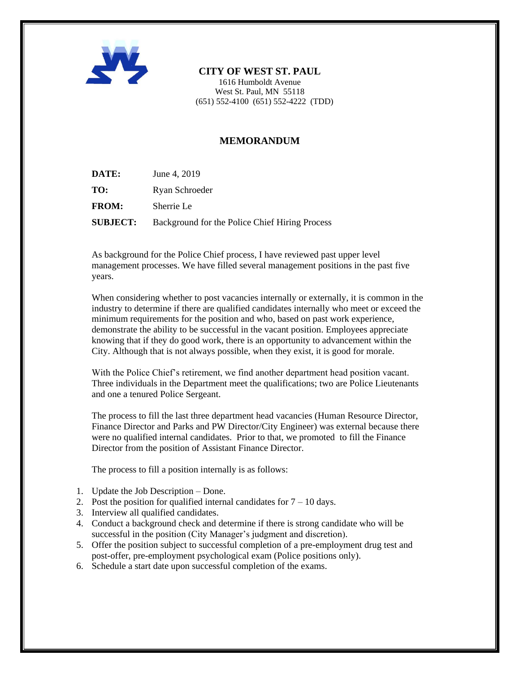

## **CITY OF WEST ST. PAUL**

1616 Humboldt Avenue West St. Paul, MN 55118  $(651)$  552-4100  $(651)$  552-4222 (TDD)

## **MEMORANDUM**

- **DATE:** June 4, 2019
- **TO:** Ryan Schroeder
- **FROM:** Sherrie Le

**SUBJECT:** Background for the Police Chief Hiring Process

As background for the Police Chief process, I have reviewed past upper level management processes. We have filled several management positions in the past five years.

When considering whether to post vacancies internally or externally, it is common in the industry to determine if there are qualified candidates internally who meet or exceed the minimum requirements for the position and who, based on past work experience, demonstrate the ability to be successful in the vacant position. Employees appreciate knowing that if they do good work, there is an opportunity to advancement within the City. Although that is not always possible, when they exist, it is good for morale.

With the Police Chief's retirement, we find another department head position vacant. Three individuals in the Department meet the qualifications; two are Police Lieutenants and one a tenured Police Sergeant.

The process to fill the last three department head vacancies (Human Resource Director, Finance Director and Parks and PW Director/City Engineer) was external because there were no qualified internal candidates. Prior to that, we promoted to fill the Finance Director from the position of Assistant Finance Director.

The process to fill a position internally is as follows:

- 1. Update the Job Description Done.
- 2. Post the position for qualified internal candidates for  $7 10$  days.
- 3. Interview all qualified candidates.
- 4. Conduct a background check and determine if there is strong candidate who will be successful in the position (City Manager's judgment and discretion).
- 5. Offer the position subject to successful completion of a pre-employment drug test and post-offer, pre-employment psychological exam (Police positions only).
- 6. Schedule a start date upon successful completion of the exams.